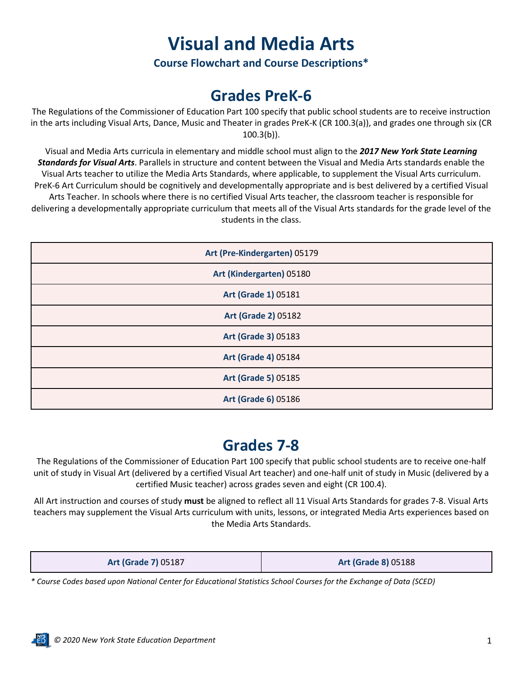# **Visual and Media Arts**

**Course Flowchart and Course Descriptions\***

## **Grades PreK-6**

The Regulations of the Commissioner of Education Part 100 specify that public school students are to receive instruction in the arts including Visual Arts, Dance, Music and Theater in grades PreK-K (CR 100.3(a)), and grades one through six (CR  $100.3(b)$ ).

Visual and Media Arts curricula in elementary and middle school must align to the *2017 New York State Learning Standards for Visual Arts*. Parallels in structure and content between the Visual and Media Arts standards enable the Visual Arts teacher to utilize the Media Arts Standards, where applicable, to supplement the Visual Arts curriculum. PreK-6 Art Curriculum should be cognitively and developmentally appropriate and is best delivered by a certified Visual Arts Teacher. In schools where there is no certified Visual Arts teacher, the classroom teacher is responsible for delivering a developmentally appropriate curriculum that meets all of the Visual Arts standards for the grade level of the students in the class.

| Art (Pre-Kindergarten) 05179 |  |  |  |  |
|------------------------------|--|--|--|--|
| Art (Kindergarten) 05180     |  |  |  |  |
| Art (Grade 1) 05181          |  |  |  |  |
| <b>Art (Grade 2) 05182</b>   |  |  |  |  |
| Art (Grade 3) 05183          |  |  |  |  |
| Art (Grade 4) 05184          |  |  |  |  |
| <b>Art (Grade 5) 05185</b>   |  |  |  |  |
| Art (Grade 6) 05186          |  |  |  |  |

# **Grades 7-8**

The Regulations of the Commissioner of Education Part 100 specify that public school students are to receive one-half unit of study in Visual Art (delivered by a certified Visual Art teacher) and one-half unit of study in Music (delivered by a certified Music teacher) across grades seven and eight (CR 100.4).

All Art instruction and courses of study **must** be aligned to reflect all 11 Visual Arts Standards for grades 7-8. Visual Arts teachers may supplement the Visual Arts curriculum with units, lessons, or integrated Media Arts experiences based on the Media Arts Standards.

| <b>Art (Grade 7) 05187</b> | <b>Art (Grade 8) 05188</b> |
|----------------------------|----------------------------|
|----------------------------|----------------------------|

*\* Course Codes based upon National Center for Educational Statistics School Courses for the Exchange of Data (SCED)*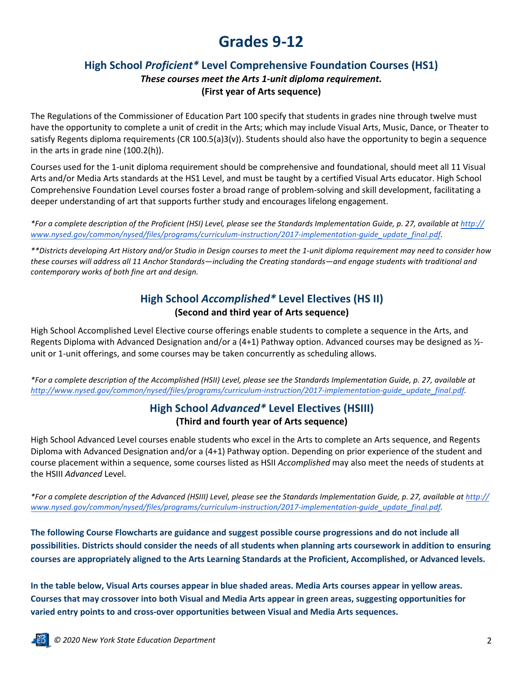## **Grades 9-12**

## **High School** *Proficient\** **Level Comprehensive Foundation Courses (HS1)**

### *These courses meet the Arts 1-unit diploma requirement.* **(First year of Arts sequence)**

The Regulations of the Commissioner of Education Part 100 specify that students in grades nine through twelve must have the opportunity to complete a unit of credit in the Arts; which may include Visual Arts, Music, Dance, or Theater to satisfy Regents diploma requirements (CR 100.5(a)3(v)). Students should also have the opportunity to begin a sequence in the arts in grade nine (100.2(h)).

Courses used for the 1-unit diploma requirement should be comprehensive and foundational, should meet all 11 Visual Arts and/or Media Arts standards at the HS1 Level, and must be taught by a certified Visual Arts educator. High School Comprehensive Foundation Level courses foster a broad range of problem-solving and skill development, facilitating a deeper understanding of art that supports further study and encourages lifelong engagement.

\*For a complete description of the Proficient (HSI) Level, please see the Standards Implementation Guide, p. 27, available at http:// *[www.nysed.gov/common/nysed/files/programs/curriculum-instruction/2017-implementation-guide\\_update\\_final.pdf](http://www.nysed.gov/common/nysed/files/programs/curriculum-instruction/2017-implementation-guide_update_final.pdf).*

\*\*Districts developing Art History and/or Studio in Design courses to meet the 1-unit diploma requirement may need to consider how these courses will address all 11 Anchor Standards—including the Creating standards—and engage students with traditional and *contemporary works of both fine art and design.*

## **High School** *Accomplished\** **Level Electives (HS II) (Second and third year of Arts sequence)**

High School Accomplished Level Elective course offerings enable students to complete a sequence in the Arts, and Regents Diploma with Advanced Designation and/or a (4+1) Pathway option. Advanced courses may be designed as ½ unit or 1-unit offerings, and some courses may be taken concurrently as scheduling allows.

\*For a complete description of the Accomplished (HSII) Level, please see the Standards Implementation Guide, p. 27, available at *[http://www.nysed.gov/common/nysed/files/programs/curriculum-instruction/2017-implementation-guide\\_update\\_final.pdf](http://www.nysed.gov/common/nysed/files/programs/curriculum-instruction/2017-implementation-guide_update_final.pdf).*

### **High School** *Advanced\** **Level Electives (HSIII) (Third and fourth year of Arts sequence)**

High School Advanced Level courses enable students who excel in the Arts to complete an Arts sequence, and Regents Diploma with Advanced Designation and/or a (4+1) Pathway option. Depending on prior experience of the student and course placement within a sequence, some courses listed as HSII *Accomplished* may also meet the needs of students at the HSIII *Advanced* Level.

\*For a complete description of the Advanced (HSIII) Level, please see the Standards Implementation Guide, p. 27, available at http:// *[www.nysed.gov/common/nysed/files/programs/curriculum-instruction/2017-implementation-guide\\_update\\_final.pdf](http://www.nysed.gov/common/nysed/files/programs/curriculum-instruction/2017-implementation-guide_update_final.pdf).*

**The following Course Flowcharts are guidance and suggest possible course progressions and do not include all possibilities. Districts should consider the needs of all students when planning arts coursework in addition to ensuring courses are appropriately aligned to the Arts Learning Standards at the Proficient, Accomplished, or Advanced levels.** 

**In the table below, Visual Arts courses appear in blue shaded areas. Media Arts courses appear in yellow areas. Courses that may crossover into both Visual and Media Arts appear in green areas, suggesting opportunities for varied entry points to and cross-over opportunities between Visual and Media Arts sequences.**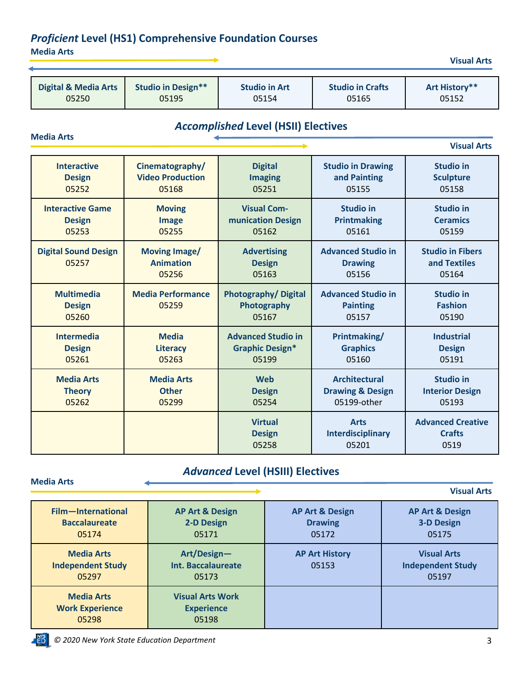## *Proficient* **Level (HS1) Comprehensive Foundation Courses**

**Media Arts**

**Media Arts**

| <b>Digital &amp; Media Arts</b> | <b>Studio in Design**</b> | <b>Studio in Art</b> | <b>Studio in Crafts</b> | Art History** |
|---------------------------------|---------------------------|----------------------|-------------------------|---------------|
| 05250                           | 05195                     | 05154                | 05165                   | 05152         |

## *Accomplished* **Level (HSII) Electives**

|                                             |                                                   |                                                    |                                                       | <b>Visual Arts</b>                                |
|---------------------------------------------|---------------------------------------------------|----------------------------------------------------|-------------------------------------------------------|---------------------------------------------------|
| <b>Interactive</b>                          | Cinematography/                                   | <b>Digital</b>                                     | <b>Studio in Drawing</b>                              | <b>Studio in</b>                                  |
| <b>Design</b>                               | <b>Video Production</b>                           | <b>Imaging</b>                                     | and Painting                                          | <b>Sculpture</b>                                  |
| 05252                                       | 05168                                             | 05251                                              | 05155                                                 | 05158                                             |
| <b>Interactive Game</b>                     | <b>Moving</b>                                     | <b>Visual Com-</b>                                 | <b>Studio in</b>                                      | <b>Studio in</b>                                  |
| <b>Design</b>                               | <b>Image</b>                                      | munication Design                                  | <b>Printmaking</b>                                    | <b>Ceramics</b>                                   |
| 05253                                       | 05255                                             | 05162                                              | 05161                                                 | 05159                                             |
| <b>Digital Sound Design</b><br>05257        | <b>Moving Image/</b><br><b>Animation</b><br>05256 | <b>Advertising</b><br><b>Design</b><br>05163       | <b>Advanced Studio in</b><br><b>Drawing</b><br>05156  | <b>Studio in Fibers</b><br>and Textiles<br>05164  |
| <b>Multimedia</b><br><b>Design</b><br>05260 | <b>Media Performance</b><br>05259                 | <b>Photography/Digital</b><br>Photography<br>05167 | <b>Advanced Studio in</b><br><b>Painting</b><br>05157 | <b>Studio in</b><br><b>Fashion</b><br>05190       |
| <b>Intermedia</b>                           | <b>Media</b>                                      | <b>Advanced Studio in</b>                          | Printmaking/                                          | <b>Industrial</b>                                 |
| <b>Design</b>                               | <b>Literacy</b>                                   | <b>Graphic Design*</b>                             | <b>Graphics</b>                                       | <b>Design</b>                                     |
| 05261                                       | 05263                                             | 05199                                              | 05160                                                 | 05191                                             |
| <b>Media Arts</b>                           | <b>Media Arts</b>                                 | <b>Web</b>                                         | <b>Architectural</b>                                  | <b>Studio in</b>                                  |
| <b>Theory</b>                               | <b>Other</b>                                      | <b>Design</b>                                      | <b>Drawing &amp; Design</b>                           | <b>Interior Design</b>                            |
| 05262                                       | 05299                                             | 05254                                              | 05199-other                                           | 05193                                             |
|                                             |                                                   | <b>Virtual</b><br><b>Design</b><br>05258           | <b>Arts</b><br>Interdisciplinary<br>05201             | <b>Advanced Creative</b><br><b>Crafts</b><br>0519 |

## *Advanced* **Level (HSIII) Electives**

**Media Arts Visual Arts Film—International Baccalaureate** 05174 **AP Art & Design 2-D Design** 05171 **AP Art & Design Drawing** 05172 **AP Art & Design 3-D Design** 05175 **Media Arts Independent Study** 05297 **Art/Design— Int. Baccalaureate** 05173 **AP Art History** 05153 **Visual Arts Independent Study** 05197 **Media Arts Work Experience** 05298 **Visual Arts Work Experience** 05198

**PYS**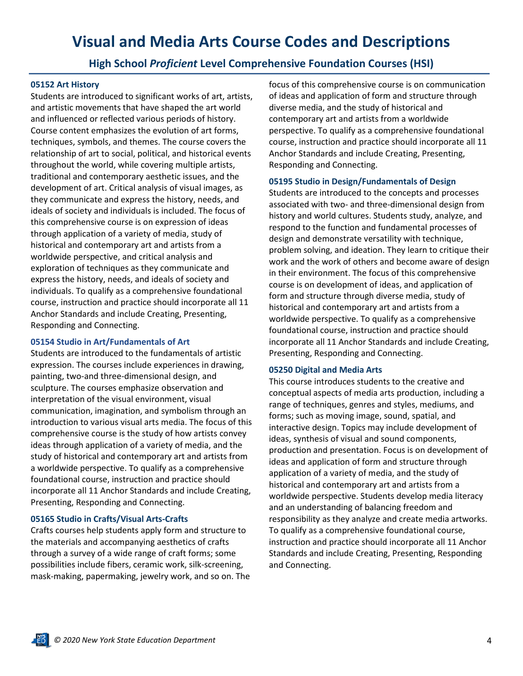## **Visual and Media Arts Course Codes and Descriptions**

### **High School** *Proficient* **Level Comprehensive Foundation Courses (HSI)**

#### **05152 Art History**

Students are introduced to significant works of art, artists, and artistic movements that have shaped the art world and influenced or reflected various periods of history. Course content emphasizes the evolution of art forms, techniques, symbols, and themes. The course covers the relationship of art to social, political, and historical events throughout the world, while covering multiple artists, traditional and contemporary aesthetic issues, and the development of art. Critical analysis of visual images, as they communicate and express the history, needs, and ideals of society and individuals is included. The focus of this comprehensive course is on expression of ideas through application of a variety of media, study of historical and contemporary art and artists from a worldwide perspective, and critical analysis and exploration of techniques as they communicate and express the history, needs, and ideals of society and individuals. To qualify as a comprehensive foundational course, instruction and practice should incorporate all 11 Anchor Standards and include Creating, Presenting, Responding and Connecting.

#### **05154 Studio in Art/Fundamentals of Art**

Students are introduced to the fundamentals of artistic expression. The courses include experiences in drawing, painting, two-and three-dimensional design, and sculpture. The courses emphasize observation and interpretation of the visual environment, visual communication, imagination, and symbolism through an introduction to various visual arts media. The focus of this comprehensive course is the study of how artists convey ideas through application of a variety of media, and the study of historical and contemporary art and artists from a worldwide perspective. To qualify as a comprehensive foundational course, instruction and practice should incorporate all 11 Anchor Standards and include Creating, Presenting, Responding and Connecting.

#### **05165 Studio in Crafts/Visual Arts-Crafts**

EB.

Crafts courses help students apply form and structure to the materials and accompanying aesthetics of crafts through a survey of a wide range of craft forms; some possibilities include fibers, ceramic work, silk-screening, mask-making, papermaking, jewelry work, and so on. The focus of this comprehensive course is on communication of ideas and application of form and structure through diverse media, and the study of historical and contemporary art and artists from a worldwide perspective. To qualify as a comprehensive foundational course, instruction and practice should incorporate all 11 Anchor Standards and include Creating, Presenting, Responding and Connecting.

#### **05195 Studio in Design/Fundamentals of Design**

Students are introduced to the concepts and processes associated with two- and three-dimensional design from history and world cultures. Students study, analyze, and respond to the function and fundamental processes of design and demonstrate versatility with technique, problem solving, and ideation. They learn to critique their work and the work of others and become aware of design in their environment. The focus of this comprehensive course is on development of ideas, and application of form and structure through diverse media, study of historical and contemporary art and artists from a worldwide perspective. To qualify as a comprehensive foundational course, instruction and practice should incorporate all 11 Anchor Standards and include Creating, Presenting, Responding and Connecting.

#### **05250 Digital and Media Arts**

This course introduces students to the creative and conceptual aspects of media arts production, including a range of techniques, genres and styles, mediums, and forms; such as moving image, sound, spatial, and interactive design. Topics may include development of ideas, synthesis of visual and sound components, production and presentation. Focus is on development of ideas and application of form and structure through application of a variety of media, and the study of historical and contemporary art and artists from a worldwide perspective. Students develop media literacy and an understanding of balancing freedom and responsibility as they analyze and create media artworks. To qualify as a comprehensive foundational course, instruction and practice should incorporate all 11 Anchor Standards and include Creating, Presenting, Responding and Connecting.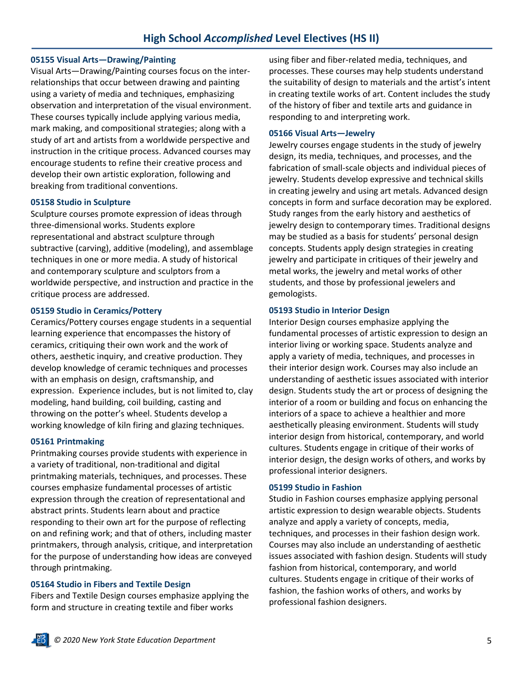#### **05155 Visual Arts—Drawing/Painting**

Visual Arts—Drawing/Painting courses focus on the interrelationships that occur between drawing and painting using a variety of media and techniques, emphasizing observation and interpretation of the visual environment. These courses typically include applying various media, mark making, and compositional strategies; along with a study of art and artists from a worldwide perspective and instruction in the critique process. Advanced courses may encourage students to refine their creative process and develop their own artistic exploration, following and breaking from traditional conventions.

#### **05158 Studio in Sculpture**

Sculpture courses promote expression of ideas through three-dimensional works. Students explore representational and abstract sculpture through subtractive (carving), additive (modeling), and assemblage techniques in one or more media. A study of historical and contemporary sculpture and sculptors from a worldwide perspective, and instruction and practice in the critique process are addressed.

#### **05159 Studio in Ceramics/Pottery**

Ceramics/Pottery courses engage students in a sequential learning experience that encompasses the history of ceramics, critiquing their own work and the work of others, aesthetic inquiry, and creative production. They develop knowledge of ceramic techniques and processes with an emphasis on design, craftsmanship, and expression. Experience includes, but is not limited to, clay modeling, hand building, coil building, casting and throwing on the potter's wheel. Students develop a working knowledge of kiln firing and glazing techniques.

#### **05161 Printmaking**

Printmaking courses provide students with experience in a variety of traditional, non-traditional and digital printmaking materials, techniques, and processes. These courses emphasize fundamental processes of artistic expression through the creation of representational and abstract prints. Students learn about and practice responding to their own art for the purpose of reflecting on and refining work; and that of others, including master printmakers, through analysis, critique, and interpretation for the purpose of understanding how ideas are conveyed through printmaking.

#### **05164 Studio in Fibers and Textile Design**

Fibers and Textile Design courses emphasize applying the form and structure in creating textile and fiber works

using fiber and fiber-related media, techniques, and processes. These courses may help students understand the suitability of design to materials and the artist's intent in creating textile works of art. Content includes the study of the history of fiber and textile arts and guidance in responding to and interpreting work.

#### **05166 Visual Arts—Jewelry**

Jewelry courses engage students in the study of jewelry design, its media, techniques, and processes, and the fabrication of small-scale objects and individual pieces of jewelry. Students develop expressive and technical skills in creating jewelry and using art metals. Advanced design concepts in form and surface decoration may be explored. Study ranges from the early history and aesthetics of jewelry design to contemporary times. Traditional designs may be studied as a basis for students' personal design concepts. Students apply design strategies in creating jewelry and participate in critiques of their jewelry and metal works, the jewelry and metal works of other students, and those by professional jewelers and gemologists.

#### **05193 Studio in Interior Design**

Interior Design courses emphasize applying the fundamental processes of artistic expression to design an interior living or working space. Students analyze and apply a variety of media, techniques, and processes in their interior design work. Courses may also include an understanding of aesthetic issues associated with interior design. Students study the art or process of designing the interior of a room or building and focus on enhancing the interiors of a space to achieve a healthier and more aesthetically pleasing environment. Students will study interior design from historical, contemporary, and world cultures. Students engage in critique of their works of interior design, the design works of others, and works by professional interior designers.

#### **05199 Studio in Fashion**

Studio in Fashion courses emphasize applying personal artistic expression to design wearable objects. Students analyze and apply a variety of concepts, media, techniques, and processes in their fashion design work. Courses may also include an understanding of aesthetic issues associated with fashion design. Students will study fashion from historical, contemporary, and world cultures. Students engage in critique of their works of fashion, the fashion works of others, and works by professional fashion designers.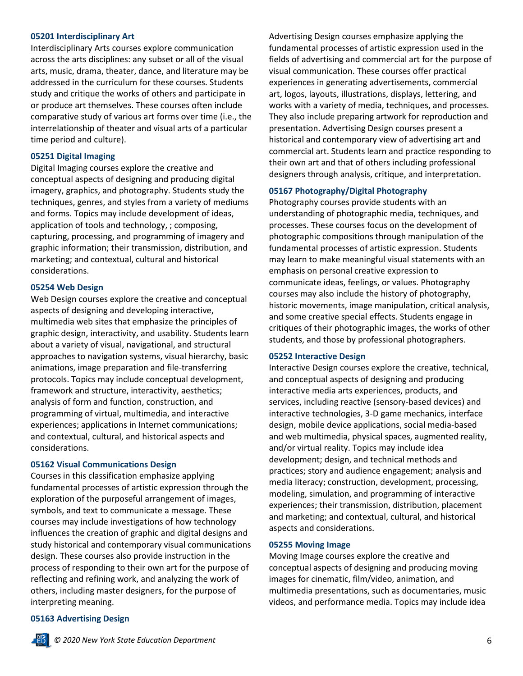#### **05201 Interdisciplinary Art**

Interdisciplinary Arts courses explore communication across the arts disciplines: any subset or all of the visual arts, music, drama, theater, dance, and literature may be addressed in the curriculum for these courses. Students study and critique the works of others and participate in or produce art themselves. These courses often include comparative study of various art forms over time (i.e., the interrelationship of theater and visual arts of a particular time period and culture).

#### **05251 Digital Imaging**

Digital Imaging courses explore the creative and conceptual aspects of designing and producing digital imagery, graphics, and photography. Students study the techniques, genres, and styles from a variety of mediums and forms. Topics may include development of ideas, application of tools and technology, ; composing, capturing, processing, and programming of imagery and graphic information; their transmission, distribution, and marketing; and contextual, cultural and historical considerations.

#### **05254 Web Design**

Web Design courses explore the creative and conceptual aspects of designing and developing interactive, multimedia web sites that emphasize the principles of graphic design, interactivity, and usability. Students learn about a variety of visual, navigational, and structural approaches to navigation systems, visual hierarchy, basic animations, image preparation and file-transferring protocols. Topics may include conceptual development, framework and structure, interactivity, aesthetics; analysis of form and function, construction, and programming of virtual, multimedia, and interactive experiences; applications in Internet communications; and contextual, cultural, and historical aspects and considerations.

#### **05162 Visual Communications Design**

Courses in this classification emphasize applying fundamental processes of artistic expression through the exploration of the purposeful arrangement of images, symbols, and text to communicate a message. These courses may include investigations of how technology influences the creation of graphic and digital designs and study historical and contemporary visual communications design. These courses also provide instruction in the process of responding to their own art for the purpose of reflecting and refining work, and analyzing the work of others, including master designers, for the purpose of interpreting meaning.

Advertising Design courses emphasize applying the fundamental processes of artistic expression used in the fields of advertising and commercial art for the purpose of visual communication. These courses offer practical experiences in generating advertisements, commercial art, logos, layouts, illustrations, displays, lettering, and works with a variety of media, techniques, and processes. They also include preparing artwork for reproduction and presentation. Advertising Design courses present a historical and contemporary view of advertising art and commercial art. Students learn and practice responding to their own art and that of others including professional designers through analysis, critique, and interpretation.

#### **05167 Photography/Digital Photography**

Photography courses provide students with an understanding of photographic media, techniques, and processes. These courses focus on the development of photographic compositions through manipulation of the fundamental processes of artistic expression. Students may learn to make meaningful visual statements with an emphasis on personal creative expression to communicate ideas, feelings, or values. Photography courses may also include the history of photography, historic movements, image manipulation, critical analysis, and some creative special effects. Students engage in critiques of their photographic images, the works of other students, and those by professional photographers.

#### **05252 Interactive Design**

Interactive Design courses explore the creative, technical, and conceptual aspects of designing and producing interactive media arts experiences, products, and services, including reactive (sensory-based devices) and interactive technologies, 3-D game mechanics, interface design, mobile device applications, social media-based and web multimedia, physical spaces, augmented reality, and/or virtual reality. Topics may include idea development; design, and technical methods and practices; story and audience engagement; analysis and media literacy; construction, development, processing, modeling, simulation, and programming of interactive experiences; their transmission, distribution, placement and marketing; and contextual, cultural, and historical aspects and considerations.

#### **05255 Moving Image**

Moving Image courses explore the creative and conceptual aspects of designing and producing moving images for cinematic, film/video, animation, and multimedia presentations, such as documentaries, music videos, and performance media. Topics may include idea

#### **05163 Advertising Design**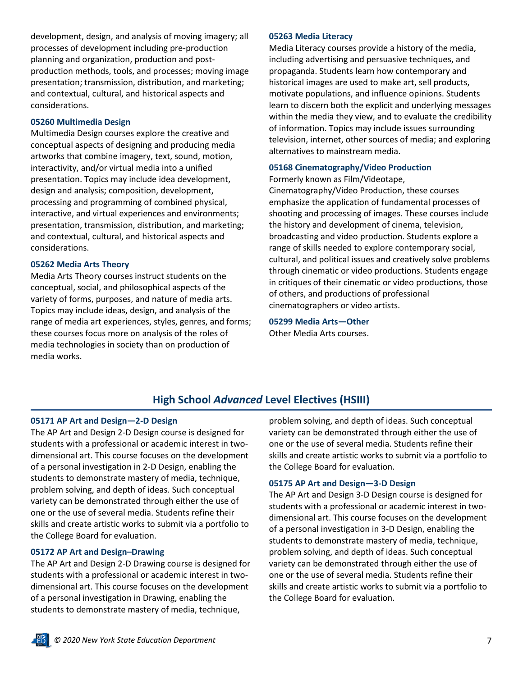development, design, and analysis of moving imagery; all processes of development including pre-production planning and organization, production and postproduction methods, tools, and processes; moving image presentation; transmission, distribution, and marketing; and contextual, cultural, and historical aspects and considerations.

#### **05260 Multimedia Design**

Multimedia Design courses explore the creative and conceptual aspects of designing and producing media artworks that combine imagery, text, sound, motion, interactivity, and/or virtual media into a unified presentation. Topics may include idea development, design and analysis; composition, development, processing and programming of combined physical, interactive, and virtual experiences and environments; presentation, transmission, distribution, and marketing; and contextual, cultural, and historical aspects and considerations.

#### **05262 Media Arts Theory**

Media Arts Theory courses instruct students on the conceptual, social, and philosophical aspects of the variety of forms, purposes, and nature of media arts. Topics may include ideas, design, and analysis of the range of media art experiences, styles, genres, and forms; these courses focus more on analysis of the roles of media technologies in society than on production of media works.

#### **05263 Media Literacy**

Media Literacy courses provide a history of the media, including advertising and persuasive techniques, and propaganda. Students learn how contemporary and historical images are used to make art, sell products, motivate populations, and influence opinions. Students learn to discern both the explicit and underlying messages within the media they view, and to evaluate the credibility of information. Topics may include issues surrounding television, internet, other sources of media; and exploring alternatives to mainstream media.

#### **05168 Cinematography/Video Production**

Formerly known as Film/Videotape,

Cinematography/Video Production, these courses emphasize the application of fundamental processes of shooting and processing of images. These courses include the history and development of cinema, television, broadcasting and video production. Students explore a range of skills needed to explore contemporary social, cultural, and political issues and creatively solve problems through cinematic or video productions. Students engage in critiques of their cinematic or video productions, those of others, and productions of professional cinematographers or video artists.

**05299 Media Arts—Other** 

Other Media Arts courses.

### **High School** *Advanced* **Level Electives (HSIII)**

#### **05171 AP Art and Design—2-D Design**

The AP Art and Design 2-D Design course is designed for students with a professional or academic interest in twodimensional art. This course focuses on the development of a personal investigation in 2-D Design, enabling the students to demonstrate mastery of media, technique, problem solving, and depth of ideas. Such conceptual variety can be demonstrated through either the use of one or the use of several media. Students refine their skills and create artistic works to submit via a portfolio to the College Board for evaluation.

#### **05172 AP Art and Design–Drawing**

The AP Art and Design 2-D Drawing course is designed for students with a professional or academic interest in twodimensional art. This course focuses on the development of a personal investigation in Drawing, enabling the students to demonstrate mastery of media, technique,

problem solving, and depth of ideas. Such conceptual variety can be demonstrated through either the use of one or the use of several media. Students refine their skills and create artistic works to submit via a portfolio to the College Board for evaluation.

#### **05175 AP Art and Design—3-D Design**

The AP Art and Design 3-D Design course is designed for students with a professional or academic interest in twodimensional art. This course focuses on the development of a personal investigation in 3-D Design, enabling the students to demonstrate mastery of media, technique, problem solving, and depth of ideas. Such conceptual variety can be demonstrated through either the use of one or the use of several media. Students refine their skills and create artistic works to submit via a portfolio to the College Board for evaluation.